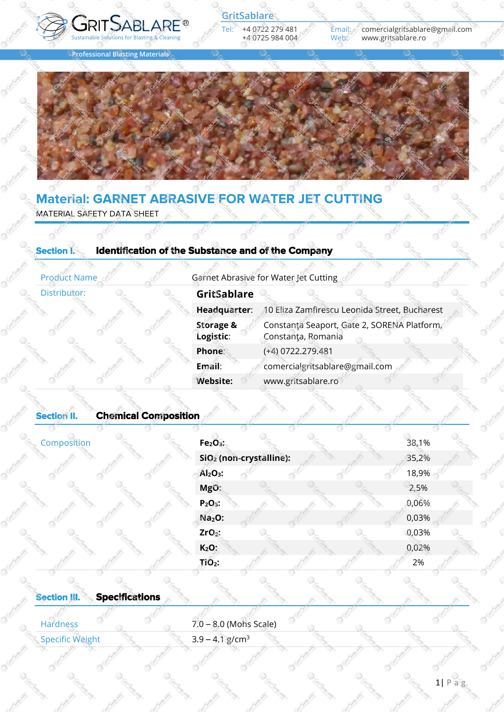

Email: *c*omercialgritsablare@gmail.com<br>Web: www.gritsablare.ro www.gritsablare.ro

**Professional Blasting Materials** 



# **Material: GARNET ABRASIVE FOR WATER JET CUTTING**

MATERIAL SAFETY DATA SHEET

#### **Section I. Identification of the Substance and of the Company**

**Distributor:** 

Product Name Same Garnet Abrasive for Water Jet Cutting

| GritSablare                       |                                                                  |
|-----------------------------------|------------------------------------------------------------------|
| Headquarter:                      | 10 Eliza Zamfirescu Leonida Street, Bucharest                    |
| <b>Storage &amp;</b><br>Logistic: | Constanta Seaport, Gate 2, SORENA Platform<br>Constanța, Romania |
| Phone:                            | (+4) 0722.279.481                                                |
| Email:                            | comercialgritsablare@gmail.com                                   |
| <b>Website:</b>                   | www.gritsablare.ro                                               |

## **Section II. Chemical Composition**

| Composition | Fe <sub>2</sub> O <sub>3</sub> |                                     |  | 38,1% |
|-------------|--------------------------------|-------------------------------------|--|-------|
|             |                                | SiO <sub>2</sub> (non-crystalline): |  | 35,2% |
|             | $Al2O3$ :                      |                                     |  | 18,9% |
|             | MgO:                           |                                     |  | 2,5%  |
|             | $P_2O_{55}$                    |                                     |  | 0,06% |
|             | $Na2O$ :                       |                                     |  | 0,03% |
|             | ZrO <sub>2</sub>               |                                     |  | 0,03% |
|             | $K2O$ :                        |                                     |  | 0,02% |
|             | $TiO2$ :                       |                                     |  | 2%    |
|             |                                |                                     |  |       |

### **Section III. Specifications**

| Hardness               |  | $7.0 - 8.0$ (Mohs Scale)      |  |
|------------------------|--|-------------------------------|--|
| <b>Specific Weight</b> |  | $3.9 - 4.1$ g/cm <sup>3</sup> |  |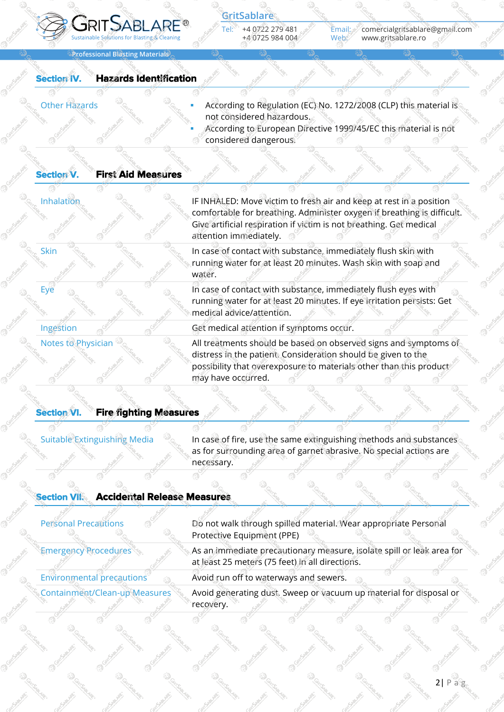

Email: comercialgritsablare@gmail.com Web: www.gritsablare.ro

**Professional Blasting Materials**

### **Section IV. Hazards Identification**

- Other Hazards **Exercise Exercise 19 According to Regulation (EC) No. 1272/2008 (CLP) this material is** not considered hazardous.
	- According to European Directive 1999/45/EC this material is not considered dangerous.

#### **Section V. First Aid Measures**

Inhalation **IF INHALED:** Move victim to fresh air and keep at rest in a position comfortable for breathing. Administer oxygen if breathing is difficult. Give artificial respiration if victim is not breathing. Get medical attention immediately.

Skin **In the Industry of Contact with substance, immediately flush skin with** running water for at least 20 minutes. Wash skin with soap and water.

Eye **In case of contact with substance, immediately flush eyes with** Eye and the Case of contact with substance, immediately flush eyes with running water for at least 20 minutes. If eye irritation persists: Get medical advice/attention.

Ingestion Solution Cet medical attention if symptoms occur.

Notes to Physician  $\otimes_{\mathbb{C}}$  All treatments should be based on observed signs and symptoms of distress in the patient. Consideration should be given to the possibility that overexposure to materials other than this product may have occurred.

#### **Section VI. Fire fighting Measures**

Suitable Extinguishing Media  $\otimes$  In case of fire, use the same extinguishing methods and substances as for surrounding area of garnet abrasive. No special actions are necessary.

#### **Section VII. Accidental Release Measures**

| <b>Personal Precautions</b>  | Do not walk through spilled material. Wear appropriate Personal                                                          |
|------------------------------|--------------------------------------------------------------------------------------------------------------------------|
|                              | Protective Equipment (PPE)                                                                                               |
| <b>Emergency Procedures</b>  | As an immediate precautionary measure, isolate spill or leak area for<br>at least 25 meters (75 feet) in all directions. |
| Environmental precautions    | Avoid run off to waterways and sewers.                                                                                   |
| Containment/Clean-upMeasures | Avoid generating dust. Sweep or vacuum up material for disposal or<br>recovery.                                          |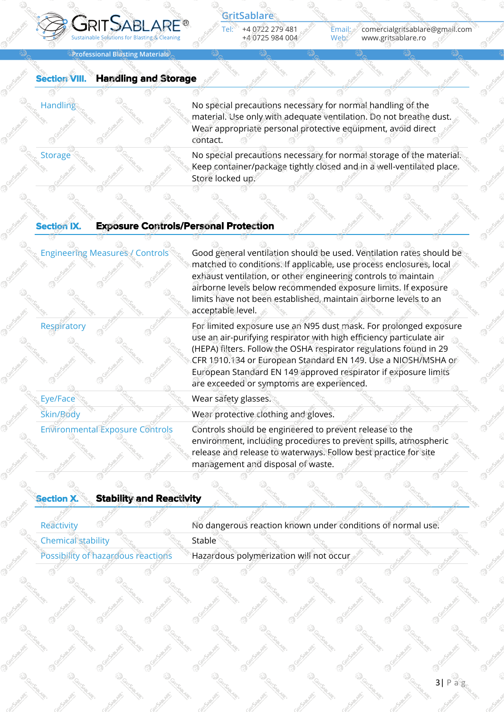

Email: comercialgritsablare@gmail.com Web: www.gritsablare.ro

**Professional Blasting Materials**

### **Section VIII. Handling and Storage**

Handling No special precautions necessary for normal handling of the material. Use only with adequate ventilation. Do not breathe dust. Wear appropriate personal protective equipment, avoid direct contact.

Storage Section 1996 Storage Section 1996 Storage Storage Storage of the material. Keep container/package tightly closed and in a well-ventilated place. Store locked up.

#### **Section IX. Exposure Controls/Personal Protection**

Eye/Face  $\mathbb{Z}_2$  and  $\mathbb{Z}_2$  are **Wear safety glasses.** 

Engineering Measures / Controls  $\mathcal{C}_0$  Good general ventilation should be used. Ventilation rates should be matched to conditions. If applicable, use process enclosures, local exhaust ventilation, or other engineering controls to maintain airborne levels below recommended exposure limits. If exposure limits have not been established, maintain airborne levels to an acceptable level.

Respiratory  $\mathscr{B}$  For limited exposure use an N95 dust mask. For prolonged exposure use an air-purifying respirator with high efficiency particulate air (HEPA) filters. Follow the OSHA respirator regulations found in 29 CFR 1910.134 or European Standard EN 149. Use a NIOSH/MSHA or European Standard EN 149 approved respirator if exposure limits are exceeded or symptoms are experienced.

 $\frac{1}{2}$  Skin/Body  $\frac{1}{2}$  Wear protective clothing and gloves.

Environmental Exposure Controls Controls should be engineered to prevent release to the environment, including procedures to prevent spills, atmospheric release and release to waterways. Follow best practice for site management and disposal of waste.

| <b>Section X.</b>  | <b>Stability and Reactivity</b>    |               |                                                             |  |  |
|--------------------|------------------------------------|---------------|-------------------------------------------------------------|--|--|
| Reactivity         |                                    |               | No dangerous reaction known under conditions of normal use. |  |  |
| Chemical stability |                                    | <b>Stable</b> |                                                             |  |  |
|                    | Possibility of hazardous reactions |               | Hazardous polymerization will not occur                     |  |  |